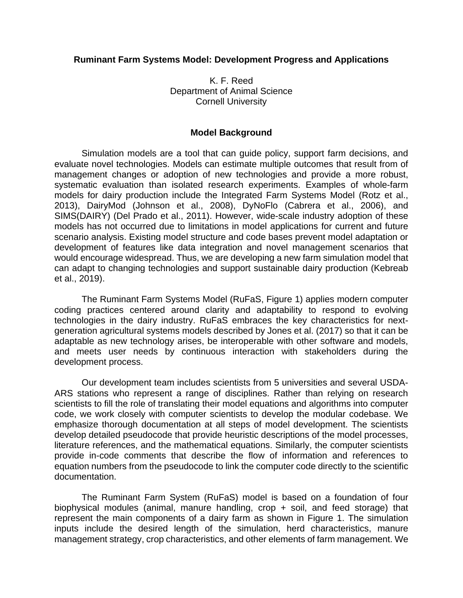## **Ruminant Farm Systems Model: Development Progress and Applications**

K. F. Reed Department of Animal Science Cornell University

### **Model Background**

Simulation models are a tool that can guide policy, support farm decisions, and evaluate novel technologies. Models can estimate multiple outcomes that result from of management changes or adoption of new technologies and provide a more robust, systematic evaluation than isolated research experiments. Examples of whole-farm models for dairy production include the Integrated Farm Systems Model (Rotz et al., 2013), DairyMod (Johnson et al., 2008), DyNoFlo (Cabrera et al., 2006), and SIMS(DAIRY) (Del Prado et al., 2011). However, wide-scale industry adoption of these models has not occurred due to limitations in model applications for current and future scenario analysis. Existing model structure and code bases prevent model adaptation or development of features like data integration and novel management scenarios that would encourage widespread. Thus, we are developing a new farm simulation model that can adapt to changing technologies and support sustainable dairy production (Kebreab et al., 2019).

The Ruminant Farm Systems Model (RuFaS, Figure 1) applies modern computer coding practices centered around clarity and adaptability to respond to evolving technologies in the dairy industry. RuFaS embraces the key characteristics for nextgeneration agricultural systems models described by Jones et al. (2017) so that it can be adaptable as new technology arises, be interoperable with other software and models, and meets user needs by continuous interaction with stakeholders during the development process.

Our development team includes scientists from 5 universities and several USDA-ARS stations who represent a range of disciplines. Rather than relying on research scientists to fill the role of translating their model equations and algorithms into computer code, we work closely with computer scientists to develop the modular codebase. We emphasize thorough documentation at all steps of model development. The scientists develop detailed pseudocode that provide heuristic descriptions of the model processes, literature references, and the mathematical equations. Similarly, the computer scientists provide in-code comments that describe the flow of information and references to equation numbers from the pseudocode to link the computer code directly to the scientific documentation.

The Ruminant Farm System (RuFaS) model is based on a foundation of four biophysical modules (animal, manure handling, crop + soil, and feed storage) that represent the main components of a dairy farm as shown in Figure 1. The simulation inputs include the desired length of the simulation, herd characteristics, manure management strategy, crop characteristics, and other elements of farm management. We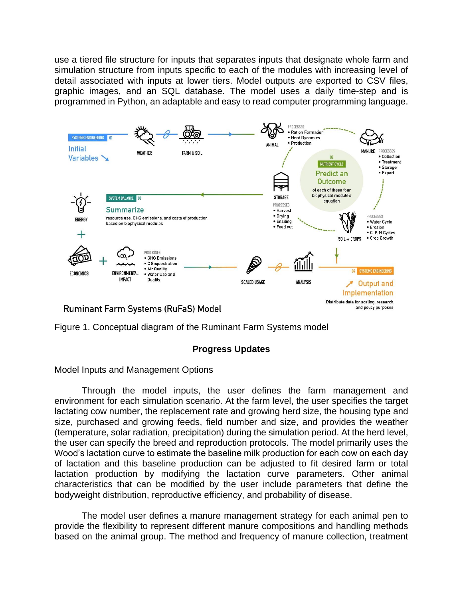use a tiered file structure for inputs that separates inputs that designate whole farm and simulation structure from inputs specific to each of the modules with increasing level of detail associated with inputs at lower tiers. Model outputs are exported to CSV files, graphic images, and an SQL database. The model uses a daily time-step and is programmed in Python, an adaptable and easy to read computer programming language.



Figure 1. Conceptual diagram of the Ruminant Farm Systems model

# **Progress Updates**

Model Inputs and Management Options

Through the model inputs, the user defines the farm management and environment for each simulation scenario. At the farm level, the user specifies the target lactating cow number, the replacement rate and growing herd size, the housing type and size, purchased and growing feeds, field number and size, and provides the weather (temperature, solar radiation, precipitation) during the simulation period. At the herd level, the user can specify the breed and reproduction protocols. The model primarily uses the Wood's lactation curve to estimate the baseline milk production for each cow on each day of lactation and this baseline production can be adjusted to fit desired farm or total lactation production by modifying the lactation curve parameters. Other animal characteristics that can be modified by the user include parameters that define the bodyweight distribution, reproductive efficiency, and probability of disease.

The model user defines a manure management strategy for each animal pen to provide the flexibility to represent different manure compositions and handling methods based on the animal group. The method and frequency of manure collection, treatment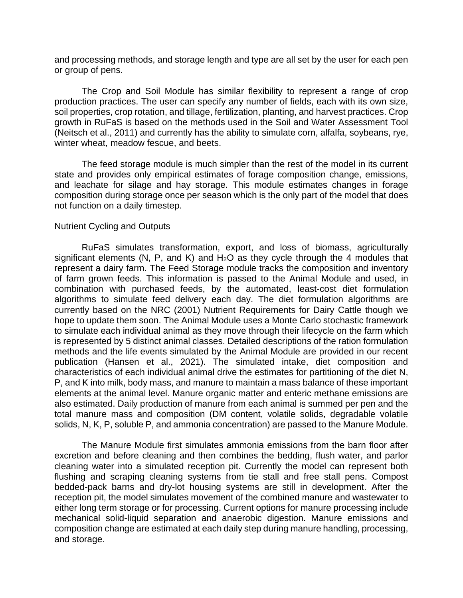and processing methods, and storage length and type are all set by the user for each pen or group of pens.

The Crop and Soil Module has similar flexibility to represent a range of crop production practices. The user can specify any number of fields, each with its own size, soil properties, crop rotation, and tillage, fertilization, planting, and harvest practices. Crop growth in RuFaS is based on the methods used in the Soil and Water Assessment Tool (Neitsch et al., 2011) and currently has the ability to simulate corn, alfalfa, soybeans, rye, winter wheat, meadow fescue, and beets.

The feed storage module is much simpler than the rest of the model in its current state and provides only empirical estimates of forage composition change, emissions, and leachate for silage and hay storage. This module estimates changes in forage composition during storage once per season which is the only part of the model that does not function on a daily timestep.

### Nutrient Cycling and Outputs

RuFaS simulates transformation, export, and loss of biomass, agriculturally significant elements (N, P, and K) and  $H<sub>2</sub>O$  as they cycle through the 4 modules that represent a dairy farm. The Feed Storage module tracks the composition and inventory of farm grown feeds. This information is passed to the Animal Module and used, in combination with purchased feeds, by the automated, least-cost diet formulation algorithms to simulate feed delivery each day. The diet formulation algorithms are currently based on the NRC (2001) Nutrient Requirements for Dairy Cattle though we hope to update them soon. The Animal Module uses a Monte Carlo stochastic framework to simulate each individual animal as they move through their lifecycle on the farm which is represented by 5 distinct animal classes. Detailed descriptions of the ration formulation methods and the life events simulated by the Animal Module are provided in our recent publication (Hansen et al., 2021). The simulated intake, diet composition and characteristics of each individual animal drive the estimates for partitioning of the diet N, P, and K into milk, body mass, and manure to maintain a mass balance of these important elements at the animal level. Manure organic matter and enteric methane emissions are also estimated. Daily production of manure from each animal is summed per pen and the total manure mass and composition (DM content, volatile solids, degradable volatile solids, N, K, P, soluble P, and ammonia concentration) are passed to the Manure Module.

The Manure Module first simulates ammonia emissions from the barn floor after excretion and before cleaning and then combines the bedding, flush water, and parlor cleaning water into a simulated reception pit. Currently the model can represent both flushing and scraping cleaning systems from tie stall and free stall pens. Compost bedded-pack barns and dry-lot housing systems are still in development. After the reception pit, the model simulates movement of the combined manure and wastewater to either long term storage or for processing. Current options for manure processing include mechanical solid-liquid separation and anaerobic digestion. Manure emissions and composition change are estimated at each daily step during manure handling, processing, and storage.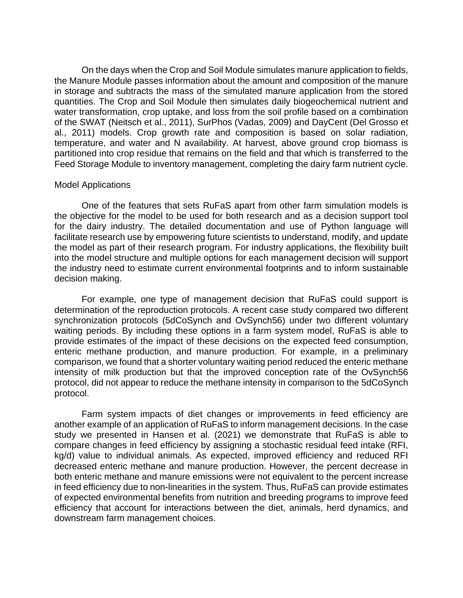On the days when the Crop and Soil Module simulates manure application to fields, the Manure Module passes information about the amount and composition of the manure in storage and subtracts the mass of the simulated manure application from the stored quantities. The Crop and Soil Module then simulates daily biogeochemical nutrient and water transformation, crop uptake, and loss from the soil profile based on a combination of the SWAT (Neitsch et al., 2011), SurPhos (Vadas, 2009) and DayCent (Del Grosso et al., 2011) models. Crop growth rate and composition is based on solar radiation, temperature, and water and N availability. At harvest, above ground crop biomass is partitioned into crop residue that remains on the field and that which is transferred to the Feed Storage Module to inventory management, completing the dairy farm nutrient cycle.

#### Model Applications

One of the features that sets RuFaS apart from other farm simulation models is the objective for the model to be used for both research and as a decision support tool for the dairy industry. The detailed documentation and use of Python language will facilitate research use by empowering future scientists to understand, modify, and update the model as part of their research program. For industry applications, the flexibility built into the model structure and multiple options for each management decision will support the industry need to estimate current environmental footprints and to inform sustainable decision making.

For example, one type of management decision that RuFaS could support is determination of the reproduction protocols. A recent case study compared two different synchronization protocols (5dCoSynch and OvSynch56) under two different voluntary waiting periods. By including these options in a farm system model, RuFaS is able to provide estimates of the impact of these decisions on the expected feed consumption, enteric methane production, and manure production. For example, in a preliminary comparison, we found that a shorter voluntary waiting period reduced the enteric methane intensity of milk production but that the improved conception rate of the OvSynch56 protocol, did not appear to reduce the methane intensity in comparison to the 5dCoSynch protocol.

Farm system impacts of diet changes or improvements in feed efficiency are another example of an application of RuFaS to inform management decisions. In the case study we presented in Hansen et al. (2021) we demonstrate that RuFaS is able to compare changes in feed efficiency by assigning a stochastic residual feed intake (RFI, kg/d) value to individual animals. As expected, improved efficiency and reduced RFI decreased enteric methane and manure production. However, the percent decrease in both enteric methane and manure emissions were not equivalent to the percent increase in feed efficiency due to non-linearities in the system. Thus, RuFaS can provide estimates of expected environmental benefits from nutrition and breeding programs to improve feed efficiency that account for interactions between the diet, animals, herd dynamics, and downstream farm management choices.